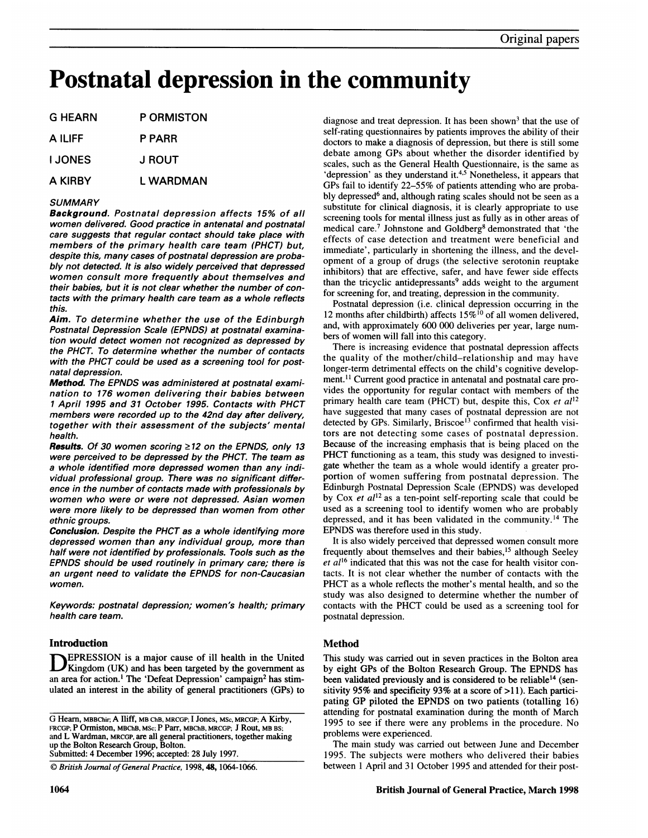# Postnatal depression in the community

| G HEARN        | <b>P ORMISTON</b> |
|----------------|-------------------|
| A ILIFF        | P PARR            |
| <b>I JONES</b> | J ROUT.           |
| A KIRBY        | L WARDMAN         |

## **SUMMARY**

Background. Postnatal depression affects 15% of all women delivered. Good practice in antenatal and postnatal care suggests that regular contact should take place with members of the primary health care team (PHCT) but, despite this, many cases of postnatal depression are probably not detected. It is also widely perceived that depressed women consult more frequently about themselves and their babies, but it is not clear whether the number of contacts with the primary health care team as a whole reflects this.

Aim. To determine whether the use of the Edinburgh Postnatal Depression Scale (EPNDS) at postnatal examination would detect women not recognized as depressed by the PHCT. To determine whether the number of contacts with the PHCT could be used as a screening tool for postnatal depression.

Method. The EPNDS was administered at postnatal examination to 176 women delivering their babies between <sup>1</sup> April 1995 and 31 October 1995. Contacts with PHCT members were recorded up to the 42nd day after delivery, together with their assessment of the subjects' mental health.

Results. Of 30 women scoring  $\geq$ 12 on the EPNDS, only 13 were perceived to be depressed by the PHCT. The team as a whole identified more depressed women than any individual professional group. There was no significant difference in the number of contacts made with professionals by women who were or were not depressed. Asian women were more likely to be depressed than women from other ethnic groups.

Conclusion. Despite the PHCT as a whole identifying more depressed women than any individual group, more than half were not identified by professionals. Tools such as the EPNDS should be used routinely in primary care; there is an urgent need to validate the EPNDS for non-Caucasian women.

Keywords: postnatal depression; women's health; primary health care team.

# Introduction

EPRESSION is a major cause of ill health in the United Kingdom (UK) and has been targeted by the government as an area for action.<sup>1</sup> The 'Defeat Depression' campaign<sup>2</sup> has stimulated an interest in the ability of general practitioners (GPs) to

 $© British Journal of General Practice, 1998, 48, 1064-1066.$ 

diagnose and treat depression. It has been shown<sup>3</sup> that the use of self-rating questionnaires by patients improves the ability of their doctors to make a diagnosis of depression, but there is still some debate among GPs about whether the disorder identified by scales, such as the General Health Questionnaire, is the same as 'depression' as they understand it.<sup>4,5</sup> Nonetheless, it appears that GPs fail to identify 22-55% of patients attending who are probably depressed<sup>6</sup> and, although rating scales should not be seen as a substitute for clinical diagnosis, it is clearly appropriate to use screening tools for mental illness just as fully as in other areas of medical care.<sup>7</sup> Johnstone and Goldberg<sup>8</sup> demonstrated that 'the effects of case detection and treatment were beneficial and immediate', particularly in shortening the illness, and the development of a group of drugs (the selective serotonin reuptake inhibitors) that are effective, safer, and have fewer side effects than the tricyclic antidepressants<sup>9</sup> adds weight to the argument for screening for, and treating, depression in the community.

Postnatal depression (i.e. clinical depression occurring in the 12 months after childbirth) affects  $15\%$ <sup>10</sup> of all women delivered, and, with approximately 600 000 deliveries per year, large numbers of women will fall into this category.

There is increasing evidence that postnatal depression affects the quality of the mother/child-relationship and may have longer-term detrimental effects on the child's cognitive development.<sup>11</sup> Current good practice in antenatal and postnatal care provides the opportunity for regular contact with members of the primary health care team (PHCT) but, despite this, Cox et al<sup>12</sup> have suggested that many cases of postnatal depression are not detected by GPs. Similarly, Briscoe<sup>13</sup> confirmed that health visitors are not detecting some cases of postnatal depression. Because of the increasing emphasis that is being placed on the PHCT functioning as a team, this study was designed to investigate whether the team as a whole would identify a greater proportion of women suffering from postnatal depression. The Edinburgh Postnatal Depression Scale (EPNDS) was developed by Cox et  $al^{12}$  as a ten-point self-reporting scale that could be used as <sup>a</sup> screening tool to identify women who are probably depressed, and it has been validated in the community.'4 The EPNDS was therefore used in this study.

It is also widely perceived that depressed women consult more frequently about themselves and their babies,<sup>15</sup> although Seeley et  $al^{16}$  indicated that this was not the case for health visitor contacts. It is not clear whether the number of contacts with the PHCT as <sup>a</sup> whole reflects the mother's mental health, and so the study was also designed to determine whether the number of contacts with the PHCT could be used as <sup>a</sup> screening tool for postnatal depression.

# Method

This study was carried out in seven practices in the Bolton area by eight GPs of the Bolton Research Group. The EPNDS has been validated previously and is considered to be reliable<sup>14</sup> (sensitivity 95% and specificity 93% at a score of >11). Each participating GP piloted the EPNDS on two patients (totalling 16) attending for postnatal examination during the month of March 1995 to see if there were any problems in the procedure. No problems were experienced.

The main study was carried out between June and December 1995. The subjects were mothers who delivered their babies between <sup>1</sup> April and 31 October 1995 and attended for their post-

G Hearn, MBBChir; A Iliff, MB ChB, MRCGP; <sup>I</sup> Jones, MSc, MRCGP; A Kirby, FRCGP; P Ormiston, MBChB, MSc; P Parr, MBChB, MRCGP; <sup>J</sup> Rout, MB BS; and L Wardman, MRCGP, are all general practitioners, together making up the Bolton Research Group, Bolton. Submitted: 4 December 1996; accepted: 28 July 1997.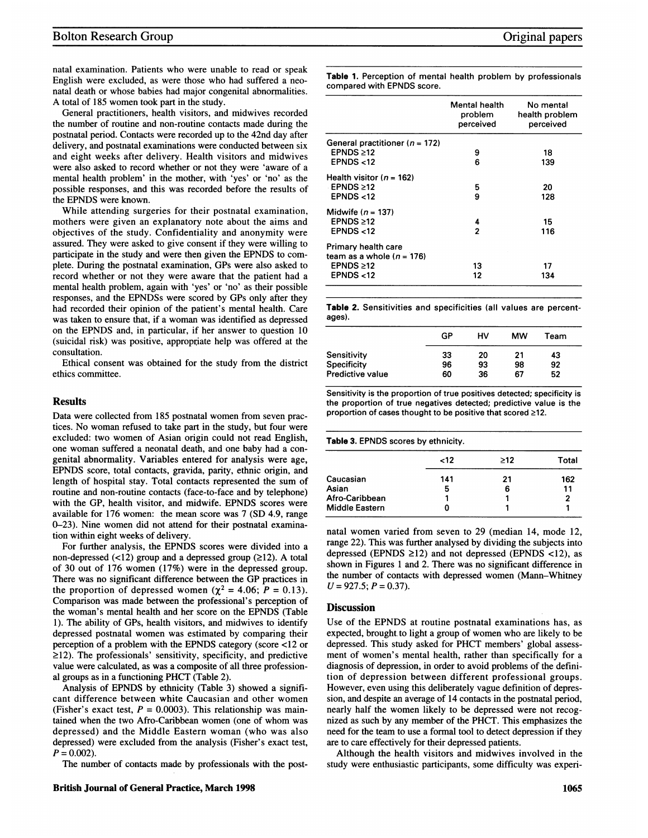natal examination. Patients who were unable to read or speak English were excluded, as were those who had suffered a neonatal death or whose babies had major congenital abnormalities. A total of <sup>185</sup> women took part in the study.

General practitioners, health visitors, and midwives recorded the number of routine and non-routine contacts made during the postnatal period. Contacts were recorded up to the 42nd day after delivery, and postnatal examinations were conducted between six and eight weeks after delivery. Health visitors and midwives were also asked to record whether or not they were 'aware of a mental health problem' in the mother, with 'yes' or 'no' as the possible responses, and this was recorded before the results of the EPNDS were known.

While attending surgeries for their postnatal examination, mothers were given an explanatory note about the aims and objectives of the study. Confidentiality and anonymity were assured. They were asked to give consent if they were willing to participate in the study and were then given the EPNDS to complete. During the postnatal examination, GPs were also asked to record whether or not they were aware that the patient had a mental health problem, again with 'yes' or 'no' as their possible responses, and the EPNDSs were scored by GPs only after they had recorded their opinion of the patient's mental health. Care was taken to ensure that, if a woman was identified as depressed on the EPNDS and, in particular, if her answer to question 10 (suicidal risk) was positive, appropriate help was offered at the consultation.

Ethical consent was obtained for the study from the district ethics committee.

## Results

Data were collected from 185 postnatal women from seven practices. No woman refused to take part in the study, but four were excluded: two women of Asian origin could not read English, one woman suffered <sup>a</sup> neonatal death, and one baby had a congenital abnormality. Variables entered for analysis were age, EPNDS score, total contacts, gravida, parity, ethnic origin, and length of hospital stay. Total contacts represented the sum of routine and non-routine contacts (face-to-face and by telephone) with the GP, health visitor, and midwife. EPNDS scores were available for 176 women: the mean score was 7 (SD 4.9, range 0-23). Nine women did not attend for their postnatal examination within eight weeks of delivery.

For further analysis, the EPNDS scores were divided into <sup>a</sup> non-depressed  $($ <12) group and a depressed group  $($ ≥12). A total of 30 out of 176 women (17%) were in the depressed group. There was no significant difference between the GP practices in the proportion of depressed women ( $\chi^2$  = 4.06; P = 0.13). Comparison was made between the professional's perception of the woman's mental health and her score on the EPNDS (Table 1). The ability of GPs, health visitors, and midwives to identify depressed postnatal women was estimated by comparing their perception of <sup>a</sup> problem with the EPNDS category (score <12 or  $\geq$ 12). The professionals' sensitivity, specificity, and predictive value were calculated, as was a composite of all three professional groups as in <sup>a</sup> functioning PHCT (Table 2).

Analysis of EPNDS by ethnicity (Table 3) showed <sup>a</sup> significant difference between white Caucasian and other women (Fisher's exact test,  $P = 0.0003$ ). This relationship was maintained when the two Afro-Caribbean women (one of whom was depressed) and the Middle Eastern woman (who was also depressed) were excluded from the analysis (Fisher's exact test,  $P = 0.002$ ).

The number of contacts made by professionals with the post-

Table 1. Perception of mental health problem by professionals compared with EPNDS score.

|                                    | Mental health<br>problem<br>perceived | No mental<br>health problem<br>perceived |
|------------------------------------|---------------------------------------|------------------------------------------|
| General practitioner ( $n = 172$ ) |                                       |                                          |
| EPNDS > 12                         | 9                                     | 18                                       |
| EPNDS < 12                         | 6                                     | 139                                      |
| Health visitor ( $n = 162$ )       |                                       |                                          |
| <b>EPNDS ≥12</b>                   | 5                                     | 20                                       |
| EPNDS $<$ 12                       | 9                                     | 128                                      |
| Midwife $(n = 137)$                |                                       |                                          |
| EPNDS $\geq 12$                    | 4                                     | 15                                       |
| EPNDS $<$ 12                       | 2                                     | 116                                      |
| Primary health care                |                                       |                                          |
| team as a whole $(n = 176)$        |                                       |                                          |
| EPNDS $\geq 12$                    | 13                                    | 17                                       |
| EPNDS < 12                         | 12                                    | 134                                      |

Table 2. Sensitivities and specificities (all values are percentages).

|                    | GP | нv | МW | Team |
|--------------------|----|----|----|------|
| Sensitivity        | 33 | 20 | 21 | 43   |
| <b>Specificity</b> | 96 | 93 | 98 | 92   |
| Predictive value   | 60 | 36 | 67 | 52   |

Sensitivity is the proportion of true positives detected; specificity is the proportion of true negatives detected; predictive value is the proportion of cases thought to be positive that scored  $\geq 12$ .

Table 3. EPNDS scores by ethnicity.

|                       | $12$ | >12 | Total |
|-----------------------|------|-----|-------|
| Caucasian             | 141  | 21  | 162   |
| Asian                 | 5    | 6   | 11    |
| Afro-Caribbean        |      |     | 2     |
| <b>Middle Eastern</b> |      |     |       |

natal women varied from seven to 29 (median 14, mode 12, range 22). This was further analysed by dividing the subjects into depressed (EPNDS  $\geq$ 12) and not depressed (EPNDS <12), as shown in Figures <sup>1</sup> and 2. There was no significant difference in the number of contacts with depressed women (Mann-Whitney  $U = 927.5; P = 0.37$ .

#### **Discussion**

Use of the EPNDS at routine postnatal examinations has, as expected, brought, to light a group of women who are likely to be depressed. This study asked for PHCT members' global assessment of women's mental health, rather than specifically for a diagnosis of depression, in order to avoid problems of the definition of depression between different professional groups. However, even using this deliberately vague definition of depression, and despite an average of 14 contacts in the postnatal period, nearly half the women likely to be depressed were not recognized as such by any member of the PHCT. This emphasizes the need for the team to use a formal tool to detect depression if they are to care effectively for their depressed patients.

Although the health visitors and midwives involved in the study were enthusiastic participants, some difficulty was experi